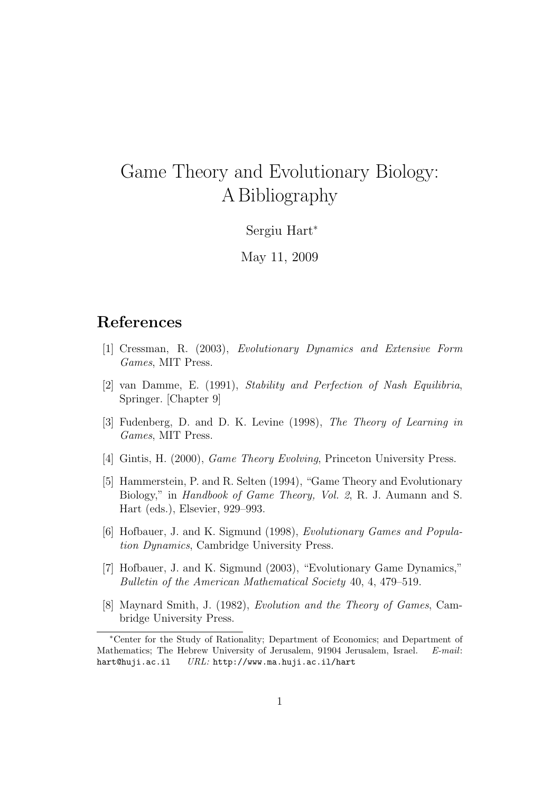## Game Theory and Evolutionary Biology: A Bibliography

## Sergiu Hart<sup>∗</sup>

May 11, 2009

## References

- [1] Cressman, R. (2003), Evolutionary Dynamics and Extensive Form Games, MIT Press.
- [2] van Damme, E. (1991), Stability and Perfection of Nash Equilibria, Springer. [Chapter 9]
- [3] Fudenberg, D. and D. K. Levine (1998), The Theory of Learning in Games, MIT Press.
- [4] Gintis, H. (2000), Game Theory Evolving, Princeton University Press.
- [5] Hammerstein, P. and R. Selten (1994), "Game Theory and Evolutionary Biology," in Handbook of Game Theory, Vol. 2, R. J. Aumann and S. Hart (eds.), Elsevier, 929–993.
- [6] Hofbauer, J. and K. Sigmund (1998), Evolutionary Games and Population Dynamics, Cambridge University Press.
- [7] Hofbauer, J. and K. Sigmund (2003), "Evolutionary Game Dynamics," Bulletin of the American Mathematical Society 40, 4, 479–519.
- [8] Maynard Smith, J. (1982), Evolution and the Theory of Games, Cambridge University Press.

<sup>∗</sup>Center for the Study of Rationality; Department of Economics; and Department of Mathematics; The Hebrew University of Jerusalem, 91904 Jerusalem, Israel. E-mail: hart@huji.ac.il URL: http://www.ma.huji.ac.il/hart